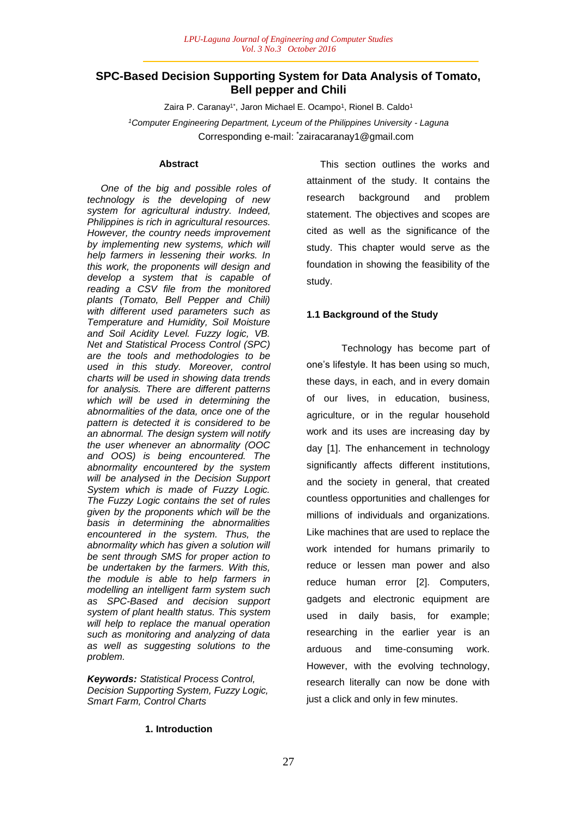# **SPC-Based Decision Supporting System for Data Analysis of Tomato, Bell pepper and Chili**

Zaira P. Caranay<sup>1\*</sup>, Jaron Michael E. Ocampo<sup>1</sup>, Rionel B. Caldo<sup>1</sup> *<sup>1</sup>Computer Engineering Department, Lyceum of the Philippines University - Laguna* Corresponding e-mail: \*zairacaranay1@gmail.com

### **Abstract**

 *One of the big and possible roles of technology is the developing of new system for agricultural industry. Indeed, Philippines is rich in agricultural resources. However, the country needs improvement by implementing new systems, which will help farmers in lessening their works. In this work, the proponents will design and develop a system that is capable of reading a CSV file from the monitored plants (Tomato, Bell Pepper and Chili) with different used parameters such as Temperature and Humidity, Soil Moisture and Soil Acidity Level. Fuzzy logic, VB. Net and Statistical Process Control (SPC) are the tools and methodologies to be used in this study. Moreover, control charts will be used in showing data trends for analysis. There are different patterns which will be used in determining the abnormalities of the data, once one of the pattern is detected it is considered to be an abnormal. The design system will notify the user whenever an abnormality (OOC and OOS) is being encountered. The abnormality encountered by the system will be analysed in the Decision Support System which is made of Fuzzy Logic. The Fuzzy Logic contains the set of rules given by the proponents which will be the basis in determining the abnormalities encountered in the system. Thus, the abnormality which has given a solution will be sent through SMS for proper action to be undertaken by the farmers. With this, the module is able to help farmers in modelling an intelligent farm system such as SPC-Based and decision support system of plant health status. This system will help to replace the manual operation such as monitoring and analyzing of data as well as suggesting solutions to the problem.*

*Keywords: Statistical Process Control, Decision Supporting System, Fuzzy Logic, Smart Farm, Control Charts*

 This section outlines the works and attainment of the study. It contains the research background and problem statement. The objectives and scopes are cited as well as the significance of the study. This chapter would serve as the foundation in showing the feasibility of the study.

#### **1.1 Background of the Study**

Technology has become part of one's lifestyle. It has been using so much, these days, in each, and in every domain of our lives, in education, business, agriculture, or in the regular household work and its uses are increasing day by day [1]. The enhancement in technology significantly affects different institutions, and the society in general, that created countless opportunities and challenges for millions of individuals and organizations. Like machines that are used to replace the work intended for humans primarily to reduce or lessen man power and also reduce human error [2]. Computers, gadgets and electronic equipment are used in daily basis, for example; researching in the earlier year is an arduous and time-consuming work. However, with the evolving technology, research literally can now be done with just a click and only in few minutes.

### **1. Introduction**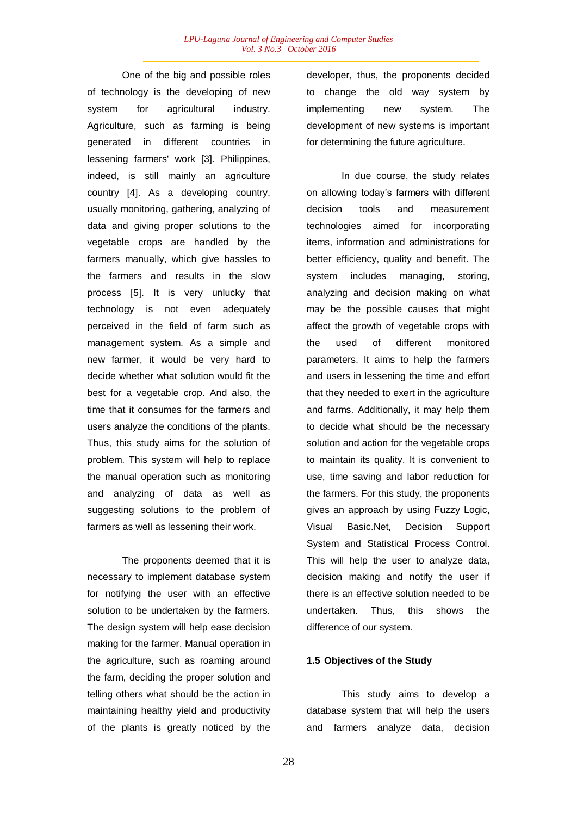One of the big and possible roles of technology is the developing of new system for agricultural industry. Agriculture, such as farming is being generated in different countries in lessening farmers' work [3]. Philippines, indeed, is still mainly an agriculture country [4]. As a developing country, usually monitoring, gathering, analyzing of data and giving proper solutions to the vegetable crops are handled by the farmers manually, which give hassles to the farmers and results in the slow process [5]. It is very unlucky that technology is not even adequately perceived in the field of farm such as management system. As a simple and new farmer, it would be very hard to decide whether what solution would fit the best for a vegetable crop. And also, the time that it consumes for the farmers and users analyze the conditions of the plants. Thus, this study aims for the solution of problem. This system will help to replace the manual operation such as monitoring and analyzing of data as well as suggesting solutions to the problem of farmers as well as lessening their work.

The proponents deemed that it is necessary to implement database system for notifying the user with an effective solution to be undertaken by the farmers. The design system will help ease decision making for the farmer. Manual operation in the agriculture, such as roaming around the farm, deciding the proper solution and telling others what should be the action in maintaining healthy yield and productivity of the plants is greatly noticed by the developer, thus, the proponents decided to change the old way system by implementing new system. The development of new systems is important for determining the future agriculture.

In due course, the study relates on allowing today's farmers with different decision tools and measurement technologies aimed for incorporating items, information and administrations for better efficiency, quality and benefit. The system includes managing, storing, analyzing and decision making on what may be the possible causes that might affect the growth of vegetable crops with the used of different monitored parameters. It aims to help the farmers and users in lessening the time and effort that they needed to exert in the agriculture and farms. Additionally, it may help them to decide what should be the necessary solution and action for the vegetable crops to maintain its quality. It is convenient to use, time saving and labor reduction for the farmers. For this study, the proponents gives an approach by using Fuzzy Logic, Visual Basic.Net, Decision Support System and Statistical Process Control. This will help the user to analyze data, decision making and notify the user if there is an effective solution needed to be undertaken. Thus, this shows the difference of our system.

# **1.5 Objectives of the Study**

This study aims to develop a database system that will help the users and farmers analyze data, decision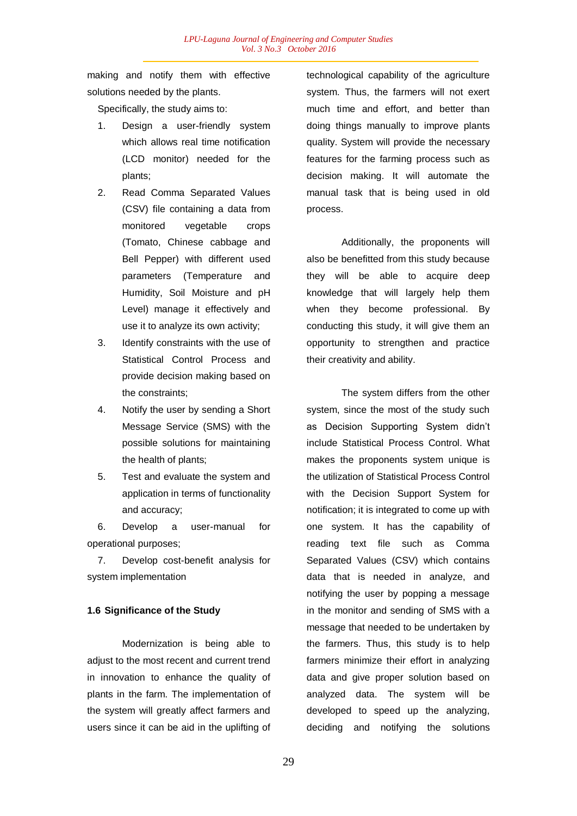making and notify them with effective solutions needed by the plants.

Specifically, the study aims to:

- 1. Design a user-friendly system which allows real time notification (LCD monitor) needed for the plants;
- 2. Read Comma Separated Values (CSV) file containing a data from monitored vegetable crops (Tomato, Chinese cabbage and Bell Pepper) with different used parameters (Temperature and Humidity, Soil Moisture and pH Level) manage it effectively and use it to analyze its own activity;
- 3. Identify constraints with the use of Statistical Control Process and provide decision making based on the constraints;
- 4. Notify the user by sending a Short Message Service (SMS) with the possible solutions for maintaining the health of plants;
- 5. Test and evaluate the system and application in terms of functionality and accuracy;

6. Develop a user-manual for operational purposes;

7. Develop cost-benefit analysis for system implementation

# **1.6 Significance of the Study**

Modernization is being able to adjust to the most recent and current trend in innovation to enhance the quality of plants in the farm. The implementation of the system will greatly affect farmers and users since it can be aid in the uplifting of technological capability of the agriculture system. Thus, the farmers will not exert much time and effort, and better than doing things manually to improve plants quality. System will provide the necessary features for the farming process such as decision making. It will automate the manual task that is being used in old process.

Additionally, the proponents will also be benefitted from this study because they will be able to acquire deep knowledge that will largely help them when they become professional. By conducting this study, it will give them an opportunity to strengthen and practice their creativity and ability.

The system differs from the other system, since the most of the study such as Decision Supporting System didn't include Statistical Process Control. What makes the proponents system unique is the utilization of Statistical Process Control with the Decision Support System for notification; it is integrated to come up with one system. It has the capability of reading text file such as Comma Separated Values (CSV) which contains data that is needed in analyze, and notifying the user by popping a message in the monitor and sending of SMS with a message that needed to be undertaken by the farmers. Thus, this study is to help farmers minimize their effort in analyzing data and give proper solution based on analyzed data. The system will be developed to speed up the analyzing, deciding and notifying the solutions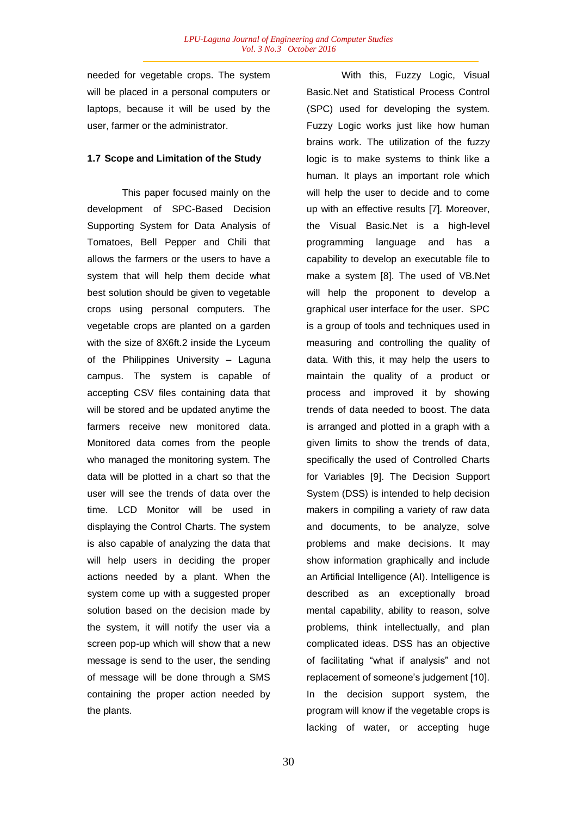needed for vegetable crops. The system will be placed in a personal computers or laptops, because it will be used by the user, farmer or the administrator.

#### **1.7 Scope and Limitation of the Study**

This paper focused mainly on the development of SPC-Based Decision Supporting System for Data Analysis of Tomatoes, Bell Pepper and Chili that allows the farmers or the users to have a system that will help them decide what best solution should be given to vegetable crops using personal computers. The vegetable crops are planted on a garden with the size of 8X6ft.2 inside the Lyceum of the Philippines University – Laguna campus. The system is capable of accepting CSV files containing data that will be stored and be updated anytime the farmers receive new monitored data. Monitored data comes from the people who managed the monitoring system. The data will be plotted in a chart so that the user will see the trends of data over the time. LCD Monitor will be used in displaying the Control Charts. The system is also capable of analyzing the data that will help users in deciding the proper actions needed by a plant. When the system come up with a suggested proper solution based on the decision made by the system, it will notify the user via a screen pop-up which will show that a new message is send to the user, the sending of message will be done through a SMS containing the proper action needed by the plants.

With this, Fuzzy Logic, Visual Basic.Net and Statistical Process Control (SPC) used for developing the system. Fuzzy Logic works just like how human brains work. The utilization of the fuzzy logic is to make systems to think like a human. It plays an important role which will help the user to decide and to come up with an effective results [7]. Moreover, the Visual Basic.Net is a high-level programming language and has a capability to develop an executable file to make a system [8]. The used of VB.Net will help the proponent to develop a graphical user interface for the user. SPC is a group of tools and techniques used in measuring and controlling the quality of data. With this, it may help the users to maintain the quality of a product or process and improved it by showing trends of data needed to boost. The data is arranged and plotted in a graph with a given limits to show the trends of data, specifically the used of Controlled Charts for Variables [9]. The Decision Support System (DSS) is intended to help decision makers in compiling a variety of raw data and documents, to be analyze, solve problems and make decisions. It may show information graphically and include an Artificial Intelligence (AI). Intelligence is described as an exceptionally broad mental capability, ability to reason, solve problems, think intellectually, and plan complicated ideas. DSS has an objective of facilitating "what if analysis" and not replacement of someone's judgement [10]. In the decision support system, the program will know if the vegetable crops is lacking of water, or accepting huge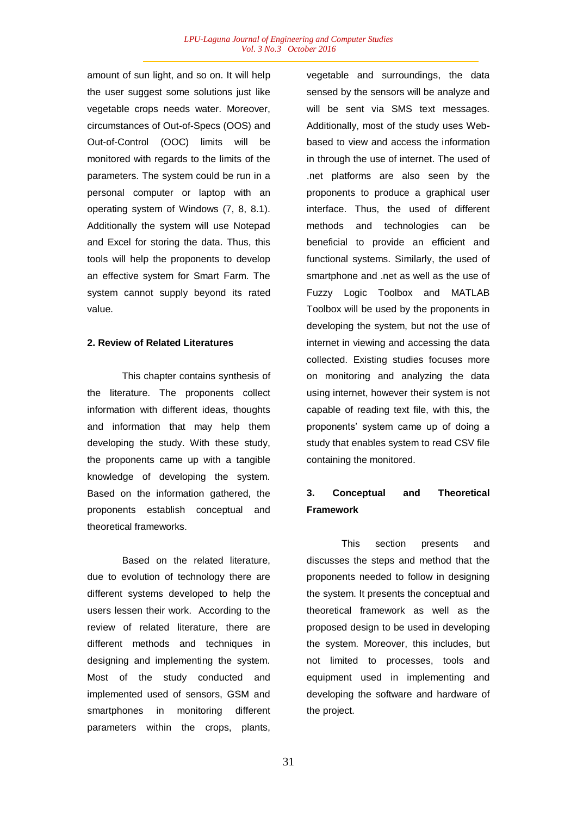amount of sun light, and so on. It will help the user suggest some solutions just like vegetable crops needs water. Moreover, circumstances of Out-of-Specs (OOS) and Out-of-Control (OOC) limits will be monitored with regards to the limits of the parameters. The system could be run in a personal computer or laptop with an operating system of Windows (7, 8, 8.1). Additionally the system will use Notepad and Excel for storing the data. Thus, this tools will help the proponents to develop an effective system for Smart Farm. The system cannot supply beyond its rated value.

# **2. Review of Related Literatures**

This chapter contains synthesis of the literature. The proponents collect information with different ideas, thoughts and information that may help them developing the study. With these study, the proponents came up with a tangible knowledge of developing the system. Based on the information gathered, the proponents establish conceptual and theoretical frameworks.

Based on the related literature, due to evolution of technology there are different systems developed to help the users lessen their work. According to the review of related literature, there are different methods and techniques in designing and implementing the system. Most of the study conducted and implemented used of sensors, GSM and smartphones in monitoring different parameters within the crops, plants,

vegetable and surroundings, the data sensed by the sensors will be analyze and will be sent via SMS text messages. Additionally, most of the study uses Webbased to view and access the information in through the use of internet. The used of .net platforms are also seen by the proponents to produce a graphical user interface. Thus, the used of different methods and technologies can be beneficial to provide an efficient and functional systems. Similarly, the used of smartphone and .net as well as the use of Fuzzy Logic Toolbox and MATLAB Toolbox will be used by the proponents in developing the system, but not the use of internet in viewing and accessing the data collected. Existing studies focuses more on monitoring and analyzing the data using internet, however their system is not capable of reading text file, with this, the proponents' system came up of doing a study that enables system to read CSV file containing the monitored.

# **3. Conceptual and Theoretical Framework**

This section presents and discusses the steps and method that the proponents needed to follow in designing the system. It presents the conceptual and theoretical framework as well as the proposed design to be used in developing the system. Moreover, this includes, but not limited to processes, tools and equipment used in implementing and developing the software and hardware of the project.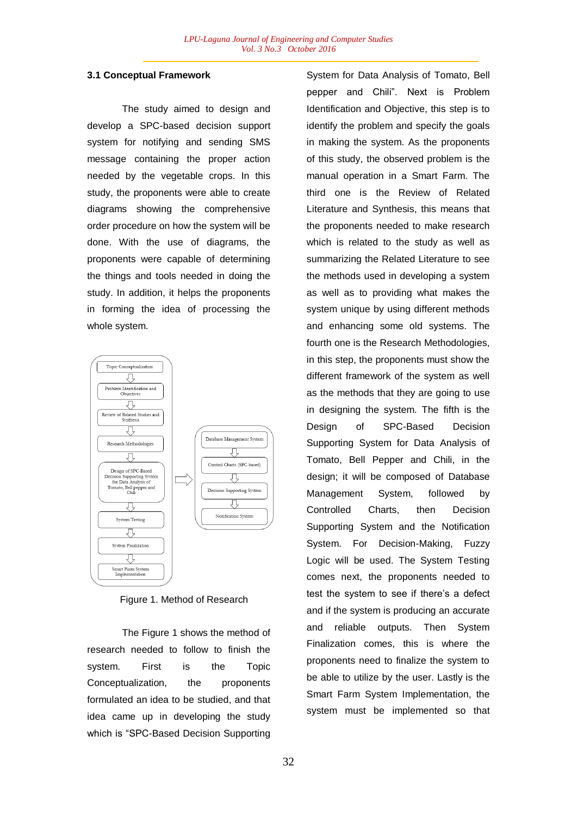### **3.1 Conceptual Framework**

The study aimed to design and develop a SPC-based decision support system for notifying and sending SMS message containing the proper action needed by the vegetable crops. In this study, the proponents were able to create diagrams showing the comprehensive order procedure on how the system will be done. With the use of diagrams, the proponents were capable of determining the things and tools needed in doing the study. In addition, it helps the proponents in forming the idea of processing the whole system.



Figure 1. Method of Research

The Figure 1 shows the method of research needed to follow to finish the system. First is the Topic Conceptualization, the proponents formulated an idea to be studied, and that idea came up in developing the study which is "SPC-Based Decision Supporting

System for Data Analysis of Tomato, Bell pepper and Chili". Next is Problem Identification and Objective, this step is to identify the problem and specify the goals in making the system. As the proponents of this study, the observed problem is the manual operation in a Smart Farm. The third one is the Review of Related Literature and Synthesis, this means that the proponents needed to make research which is related to the study as well as summarizing the Related Literature to see the methods used in developing a system as well as to providing what makes the system unique by using different methods and enhancing some old systems. The fourth one is the Research Methodologies, in this step, the proponents must show the different framework of the system as well as the methods that they are going to use in designing the system. The fifth is the Design of SPC-Based Decision Supporting System for Data Analysis of Tomato, Bell Pepper and Chili, in the design; it will be composed of Database Management System, followed by Controlled Charts, then Decision Supporting System and the Notification System. For Decision-Making, Fuzzy Logic will be used. The System Testing comes next, the proponents needed to test the system to see if there's a defect and if the system is producing an accurate and reliable outputs. Then System Finalization comes, this is where the proponents need to finalize the system to be able to utilize by the user. Lastly is the Smart Farm System Implementation, the system must be implemented so that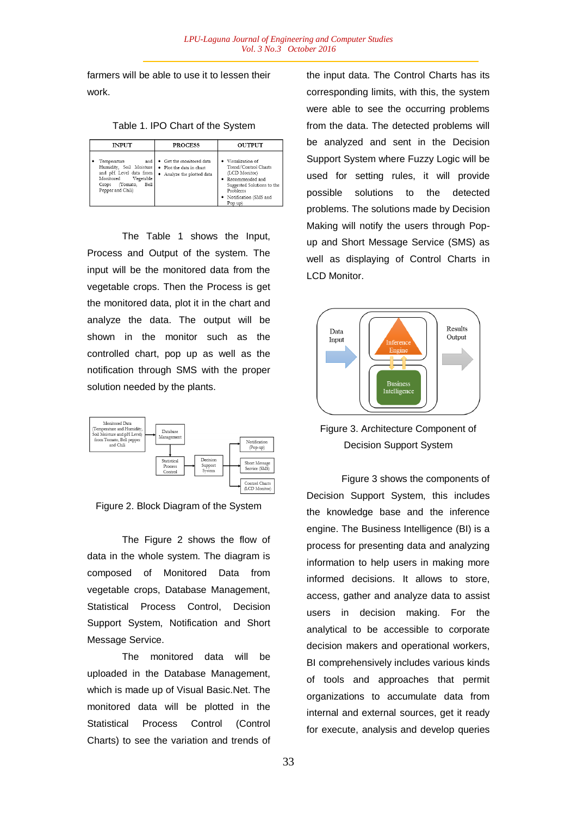farmers will be able to use it to lessen their work.

Table 1. IPO Chart of the System

| <b>INPUT</b>                                                                                                                                        | <b>PROCESS</b>                                                                     | <b>OUTPUT</b>                                                                                                                                                    |
|-----------------------------------------------------------------------------------------------------------------------------------------------------|------------------------------------------------------------------------------------|------------------------------------------------------------------------------------------------------------------------------------------------------------------|
| Temperature<br>and<br>Humidity, Soil Moisture<br>and pH Level data from<br>Monitored<br>Vegetable<br>(Tomato,<br>Bell<br>Crops<br>Pepper and Chili) | • Get the monitored data<br>· Plot the data in chart<br>• Analyze the plotted data | · Visualization of<br>Trend/Control Charts<br>(LCD Monitor)<br>• Recommended and<br>Suggested Solutions to the<br>Problems<br>· Notification (SMS and<br>Pop up) |

The Table 1 shows the Input, Process and Output of the system. The input will be the monitored data from the vegetable crops. Then the Process is get the monitored data, plot it in the chart and analyze the data. The output will be shown in the monitor such as the controlled chart, pop up as well as the notification through SMS with the proper solution needed by the plants.





The Figure 2 shows the flow of data in the whole system. The diagram is composed of Monitored Data from vegetable crops, Database Management, Statistical Process Control, Decision Support System, Notification and Short Message Service.

The monitored data will be uploaded in the Database Management, which is made up of Visual Basic.Net. The monitored data will be plotted in the Statistical Process Control (Control Charts) to see the variation and trends of the input data. The Control Charts has its corresponding limits, with this, the system were able to see the occurring problems from the data. The detected problems will be analyzed and sent in the Decision Support System where Fuzzy Logic will be used for setting rules, it will provide possible solutions to the detected problems. The solutions made by Decision Making will notify the users through Popup and Short Message Service (SMS) as well as displaying of Control Charts in LCD Monitor.



Figure 3. Architecture Component of Decision Support System

Figure 3 shows the components of Decision Support System, this includes the knowledge base and the inference engine. The Business Intelligence (BI) is a process for presenting data and analyzing information to help users in making more informed decisions. It allows to store, access, gather and analyze data to assist users in decision making. For the analytical to be accessible to corporate decision makers and operational workers, BI comprehensively includes various kinds of tools and approaches that permit organizations to accumulate data from internal and external sources, get it ready for execute, analysis and develop queries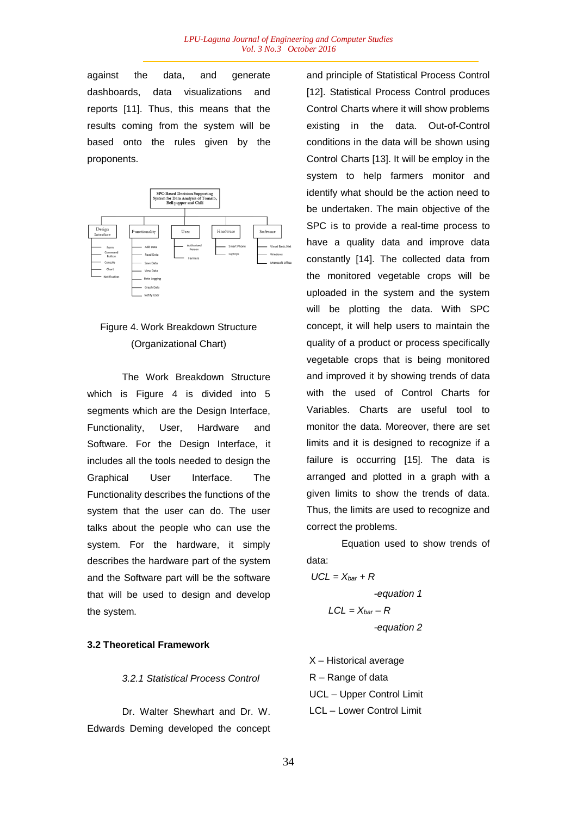against the data, and generate dashboards, data visualizations and reports [11]. Thus, this means that the results coming from the system will be based onto the rules given by the proponents.



# Figure 4. Work Breakdown Structure (Organizational Chart)

The Work Breakdown Structure which is Figure 4 is divided into 5 segments which are the Design Interface, Functionality, User, Hardware and Software. For the Design Interface, it includes all the tools needed to design the Graphical User Interface. The Functionality describes the functions of the system that the user can do. The user talks about the people who can use the system. For the hardware, it simply describes the hardware part of the system and the Software part will be the software that will be used to design and develop the system.

# **3.2 Theoretical Framework**

*3.2.1 Statistical Process Control*

Dr. Walter Shewhart and Dr. W. Edwards Deming developed the concept and principle of Statistical Process Control [12]. Statistical Process Control produces Control Charts where it will show problems existing in the data. Out-of-Control conditions in the data will be shown using Control Charts [13]. It will be employ in the system to help farmers monitor and identify what should be the action need to be undertaken. The main objective of the SPC is to provide a real-time process to have a quality data and improve data constantly [14]. The collected data from the monitored vegetable crops will be uploaded in the system and the system will be plotting the data. With SPC concept, it will help users to maintain the quality of a product or process specifically vegetable crops that is being monitored and improved it by showing trends of data with the used of Control Charts for Variables. Charts are useful tool to monitor the data. Moreover, there are set limits and it is designed to recognize if a failure is occurring [15]. The data is arranged and plotted in a graph with a given limits to show the trends of data. Thus, the limits are used to recognize and correct the problems.

Equation used to show trends of data:

*UCL = Xbar + R -equation 1*  $LCL = X_{bar} - R$ *-equation 2*

X – Historical average R – Range of data UCL – Upper Control Limit LCL – Lower Control Limit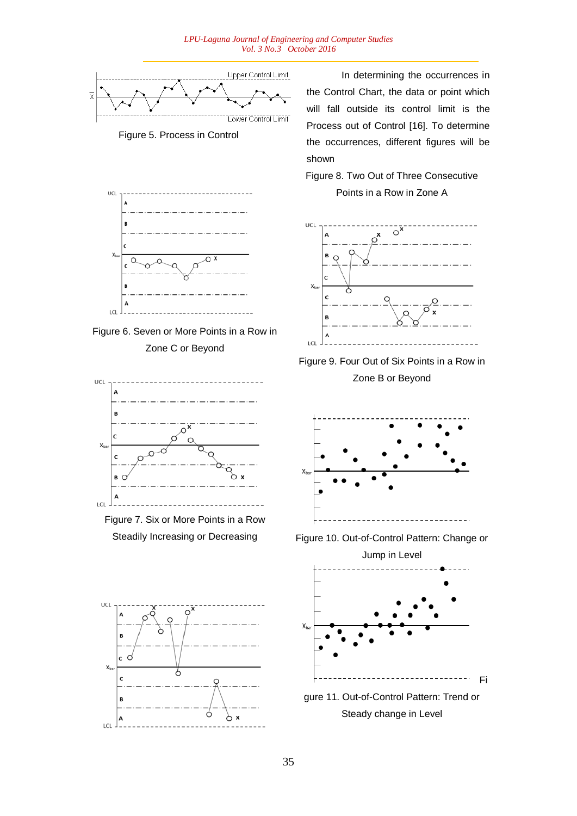

UCL  $\epsilon$ l c  $\Delta$ LCL





Figure 7. Six or More Points in a Row Steadily Increasing or Decreasing



In determining the occurrences in the Control Chart, the data or point which will fall outside its control limit is the Process out of Control [16]. To determine the occurrences, different figures will be shown

Figure 8. Two Out of Three Consecutive

# Points in a Row in Zone A







Figure 10. Out-of-Control Pattern: Change or



gure 11. Out-of-Control Pattern: Trend or Steady change in Level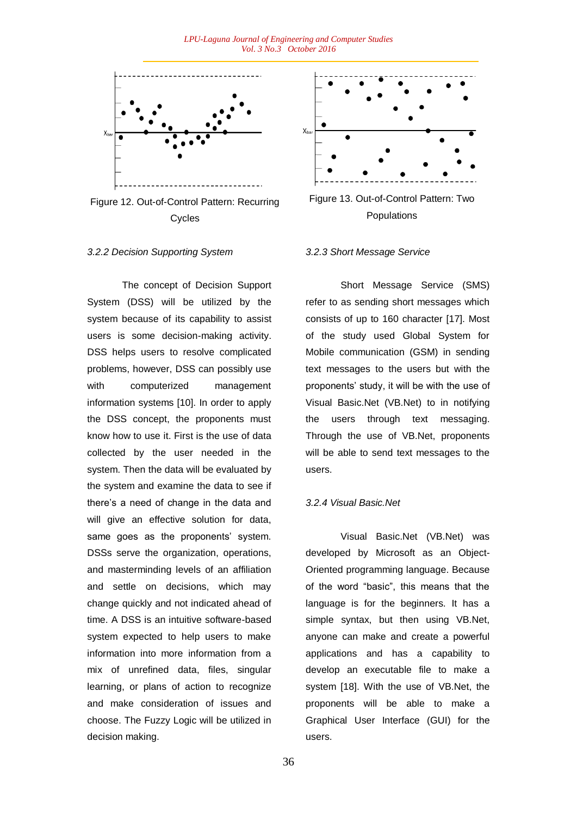

Figure 12. Out-of-Control Pattern: Recurring Cycles

### *3.2.2 Decision Supporting System*

The concept of Decision Support System (DSS) will be utilized by the system because of its capability to assist users is some decision-making activity. DSS helps users to resolve complicated problems, however, DSS can possibly use with computerized management information systems [10]. In order to apply the DSS concept, the proponents must know how to use it. First is the use of data collected by the user needed in the system. Then the data will be evaluated by the system and examine the data to see if there's a need of change in the data and will give an effective solution for data, same goes as the proponents' system. DSSs serve the organization, operations, and masterminding levels of an affiliation and settle on decisions, which may change quickly and not indicated ahead of time. A DSS is an intuitive software-based system expected to help users to make information into more information from a mix of unrefined data, files, singular learning, or plans of action to recognize and make consideration of issues and choose. The Fuzzy Logic will be utilized in decision making.



Figure 13. Out-of-Control Pattern: Two Populations

#### *3.2.3 Short Message Service*

Short Message Service (SMS) refer to as sending short messages which consists of up to 160 character [17]. Most of the study used Global System for Mobile communication (GSM) in sending text messages to the users but with the proponents' study, it will be with the use of Visual Basic.Net (VB.Net) to in notifying the users through text messaging. Through the use of VB.Net, proponents will be able to send text messages to the users.

#### *3.2.4 Visual Basic.Net*

Visual Basic.Net (VB.Net) was developed by Microsoft as an Object-Oriented programming language. Because of the word "basic", this means that the language is for the beginners. It has a simple syntax, but then using VB.Net, anyone can make and create a powerful applications and has a capability to develop an executable file to make a system [18]. With the use of VB.Net, the proponents will be able to make a Graphical User Interface (GUI) for the users.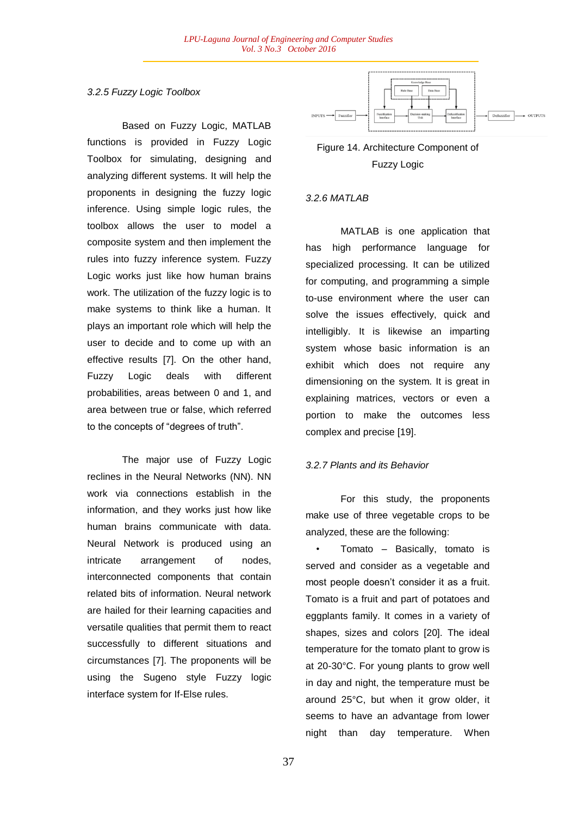# *3.2.5 Fuzzy Logic Toolbox*

Based on Fuzzy Logic, MATLAB functions is provided in Fuzzy Logic Toolbox for simulating, designing and analyzing different systems. It will help the proponents in designing the fuzzy logic inference. Using simple logic rules, the toolbox allows the user to model a composite system and then implement the rules into fuzzy inference system. Fuzzy Logic works just like how human brains work. The utilization of the fuzzy logic is to make systems to think like a human. It plays an important role which will help the user to decide and to come up with an effective results [7]. On the other hand, Fuzzy Logic deals with different probabilities, areas between 0 and 1, and area between true or false, which referred to the concepts of "degrees of truth".

The major use of Fuzzy Logic reclines in the Neural Networks (NN). NN work via connections establish in the information, and they works just how like human brains communicate with data. Neural Network is produced using an intricate arrangement of nodes, interconnected components that contain related bits of information. Neural network are hailed for their learning capacities and versatile qualities that permit them to react successfully to different situations and circumstances [7]. The proponents will be using the Sugeno style Fuzzy logic interface system for If-Else rules.



# Figure 14. Architecture Component of Fuzzy Logic

# *3.2.6 MATLAB*

MATLAB is one application that has high performance language for specialized processing. It can be utilized for computing, and programming a simple to-use environment where the user can solve the issues effectively, quick and intelligibly. It is likewise an imparting system whose basic information is an exhibit which does not require any dimensioning on the system. It is great in explaining matrices, vectors or even a portion to make the outcomes less complex and precise [19].

# *3.2.7 Plants and its Behavior*

For this study, the proponents make use of three vegetable crops to be analyzed, these are the following:

• Tomato – Basically, tomato is served and consider as a vegetable and most people doesn't consider it as a fruit. Tomato is a fruit and part of potatoes and eggplants family. It comes in a variety of shapes, sizes and colors [20]. The ideal temperature for the tomato plant to grow is at 20-30°C. For young plants to grow well in day and night, the temperature must be around 25°C, but when it grow older, it seems to have an advantage from lower night than day temperature. When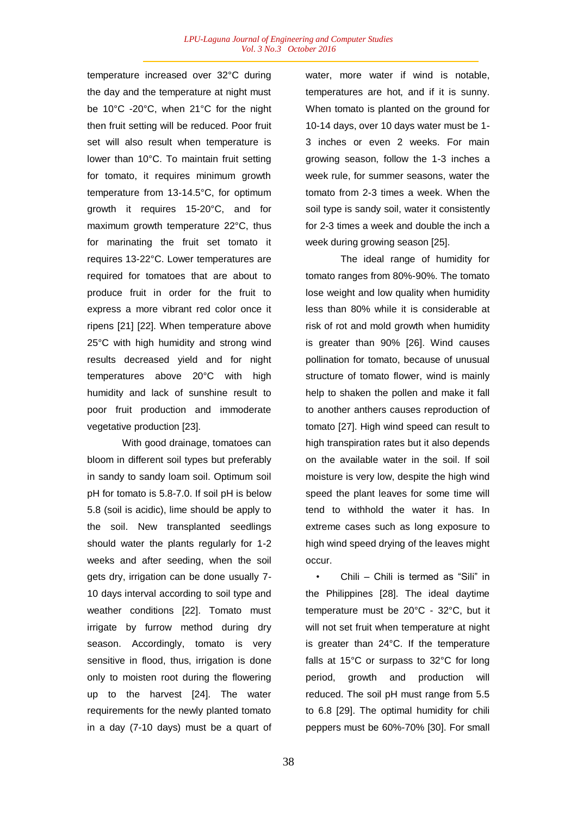temperature increased over 32°C during the day and the temperature at night must be 10°C -20°C, when 21°C for the night then fruit setting will be reduced. Poor fruit set will also result when temperature is lower than 10°C. To maintain fruit setting for tomato, it requires minimum growth temperature from 13-14.5°C, for optimum growth it requires 15-20°C, and for maximum growth temperature 22°C, thus for marinating the fruit set tomato it requires 13-22°C. Lower temperatures are required for tomatoes that are about to produce fruit in order for the fruit to express a more vibrant red color once it ripens [21] [22]. When temperature above 25°C with high humidity and strong wind results decreased yield and for night temperatures above 20°C with high humidity and lack of sunshine result to poor fruit production and immoderate vegetative production [23].

With good drainage, tomatoes can bloom in different soil types but preferably in sandy to sandy loam soil. Optimum soil pH for tomato is 5.8-7.0. If soil pH is below 5.8 (soil is acidic), lime should be apply to the soil. New transplanted seedlings should water the plants regularly for 1-2 weeks and after seeding, when the soil gets dry, irrigation can be done usually 7- 10 days interval according to soil type and weather conditions [22]. Tomato must irrigate by furrow method during dry season. Accordingly, tomato is very sensitive in flood, thus, irrigation is done only to moisten root during the flowering up to the harvest [24]. The water requirements for the newly planted tomato in a day (7-10 days) must be a quart of water, more water if wind is notable, temperatures are hot, and if it is sunny. When tomato is planted on the ground for 10-14 days, over 10 days water must be 1- 3 inches or even 2 weeks. For main growing season, follow the 1-3 inches a week rule, for summer seasons, water the tomato from 2-3 times a week. When the soil type is sandy soil, water it consistently for 2-3 times a week and double the inch a week during growing season [25].

The ideal range of humidity for tomato ranges from 80%-90%. The tomato lose weight and low quality when humidity less than 80% while it is considerable at risk of rot and mold growth when humidity is greater than 90% [26]. Wind causes pollination for tomato, because of unusual structure of tomato flower, wind is mainly help to shaken the pollen and make it fall to another anthers causes reproduction of tomato [27]. High wind speed can result to high transpiration rates but it also depends on the available water in the soil. If soil moisture is very low, despite the high wind speed the plant leaves for some time will tend to withhold the water it has. In extreme cases such as long exposure to high wind speed drying of the leaves might occur.

• Chili – Chili is termed as "Sili" in the Philippines [28]. The ideal daytime temperature must be 20°C - 32°C, but it will not set fruit when temperature at night is greater than 24°C. If the temperature falls at 15°C or surpass to 32°C for long period, growth and production will reduced. The soil pH must range from 5.5 to 6.8 [29]. The optimal humidity for chili peppers must be 60%-70% [30]. For small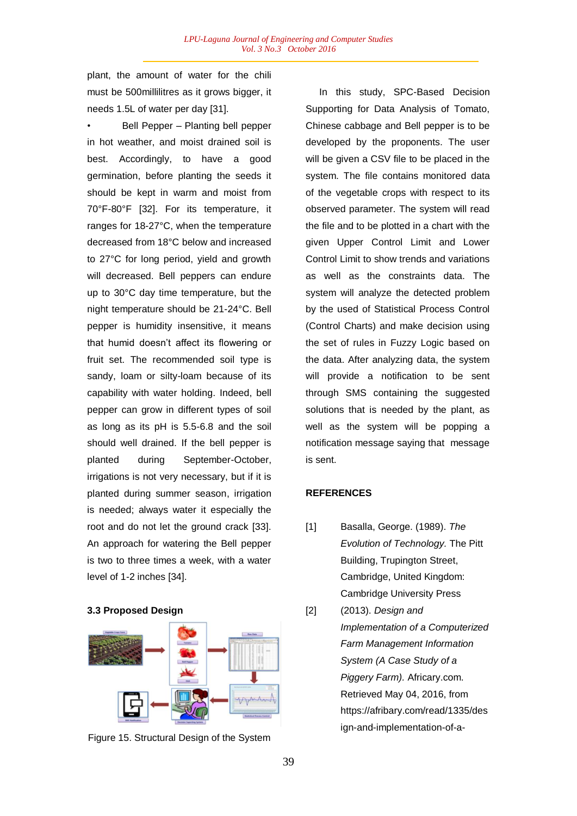plant, the amount of water for the chili must be 500millilitres as it grows bigger, it needs 1.5L of water per day [31].

• Bell Pepper – Planting bell pepper in hot weather, and moist drained soil is best. Accordingly, to have a good germination, before planting the seeds it should be kept in warm and moist from 70°F-80°F [32]. For its temperature, it ranges for 18-27°C, when the temperature decreased from 18°C below and increased to 27°C for long period, yield and growth will decreased. Bell peppers can endure up to 30°C day time temperature, but the night temperature should be 21-24°C. Bell pepper is humidity insensitive, it means that humid doesn't affect its flowering or fruit set. The recommended soil type is sandy, loam or silty-loam because of its capability with water holding. Indeed, bell pepper can grow in different types of soil as long as its pH is 5.5-6.8 and the soil should well drained. If the bell pepper is planted during September-October, irrigations is not very necessary, but if it is planted during summer season, irrigation is needed; always water it especially the root and do not let the ground crack [33]. An approach for watering the Bell pepper is two to three times a week, with a water level of 1-2 inches [34].

### **3.3 Proposed Design**



Figure 15. Structural Design of the System

 In this study, SPC-Based Decision Supporting for Data Analysis of Tomato, Chinese cabbage and Bell pepper is to be developed by the proponents. The user will be given a CSV file to be placed in the system. The file contains monitored data of the vegetable crops with respect to its observed parameter. The system will read the file and to be plotted in a chart with the given Upper Control Limit and Lower Control Limit to show trends and variations as well as the constraints data. The system will analyze the detected problem by the used of Statistical Process Control (Control Charts) and make decision using the set of rules in Fuzzy Logic based on the data. After analyzing data, the system will provide a notification to be sent through SMS containing the suggested solutions that is needed by the plant, as well as the system will be popping a notification message saying that message is sent.

### **REFERENCES**

- [1] Basalla, George. (1989). *The Evolution of Technology.* The Pitt Building, Trupington Street, Cambridge, United Kingdom: Cambridge University Press
- [2] (2013). *Design and Implementation of a Computerized Farm Management Information System (A Case Study of a Piggery Farm).* Africary.com. Retrieved May 04, 2016, from https://afribary.com/read/1335/des ign-and-implementation-of-a-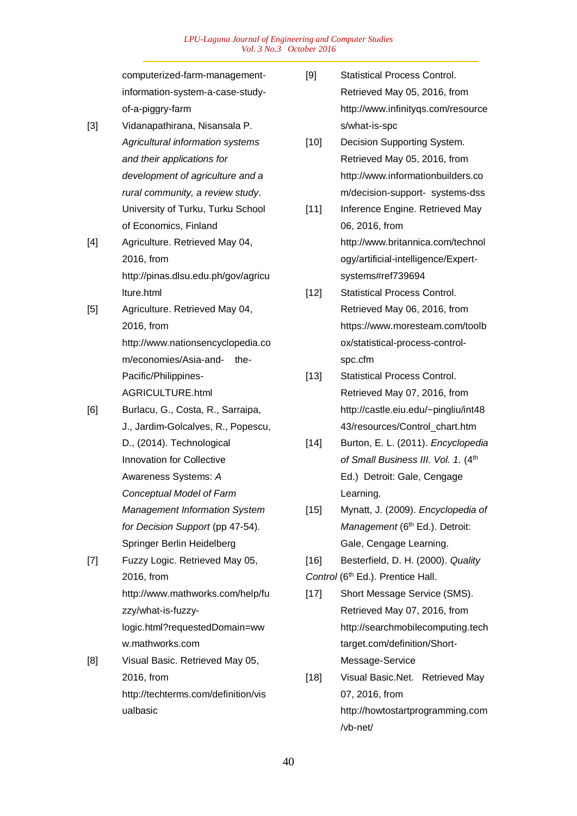*LPU-Laguna Journal of Engineering and Computer Studies Vol. 3 No.3 October 2016*

computerized-farm-managementinformation-system-a-case-studyof-a-piggry-farm

- [3] Vidanapathirana, Nisansala P. *Agricultural information systems and their applications for development of agriculture and a rural community, a review study*. University of Turku, Turku School of Economics, Finland
- [4] Agriculture. Retrieved May 04, 2016, from http://pinas.dlsu.edu.ph/gov/agricu lture.html
- [5] Agriculture. Retrieved May 04, 2016, from http://www.nationsencyclopedia.co m/economies/Asia-and- the-Pacific/Philippines-AGRICULTURE.html
- [6] Burlacu, G., Costa, R., Sarraipa, J., Jardim-Golcalves, R., Popescu, D., (2014). Technological Innovation for Collective Awareness Systems: *A Conceptual Model of Farm Management Information System for Decision Support* (pp 47-54). Springer Berlin Heidelberg
- [7] Fuzzy Logic. Retrieved May 05, 2016, from http://www.mathworks.com/help/fu zzy/what-is-fuzzylogic.html?requestedDomain=ww w.mathworks.com
- [8] Visual Basic. Retrieved May 05, 2016, from http://techterms.com/definition/vis ualbasic
- [9] Statistical Process Control. Retrieved May 05, 2016, from http://www.infinityqs.com/resource s/what-is-spc
- [10] Decision Supporting System. Retrieved May 05, 2016, from http://www.informationbuilders.co m/decision-support- systems-dss
- [11] Inference Engine. Retrieved May 06, 2016, from http://www.britannica.com/technol ogy/artificial-intelligence/Expertsystems#ref739694
- [12] Statistical Process Control. Retrieved May 06, 2016, from https://www.moresteam.com/toolb ox/statistical-process-controlspc.cfm
- [13] Statistical Process Control. Retrieved May 07, 2016, from http://castle.eiu.edu/~pingliu/int48 43/resources/Control\_chart.htm
- [14] Burton, E. L. (2011). *Encyclopedia*  of Small Business III. Vol. 1. (4<sup>th</sup> Ed.) Detroit: Gale, Cengage Learning.
- [15] Mynatt, J. (2009). *Encyclopedia of Management* (6<sup>th</sup> Ed.). Detroit: Gale, Cengage Learning.
- [16] Besterfield, D. H. (2000). *Quality*

Control (6<sup>th</sup> Ed.). Prentice Hall.

- [17] Short Message Service (SMS). Retrieved May 07, 2016, from http://searchmobilecomputing.tech target.com/definition/Short-Message-Service
- [18] Visual Basic.Net. Retrieved May 07, 2016, from http://howtostartprogramming.com /vb-net/